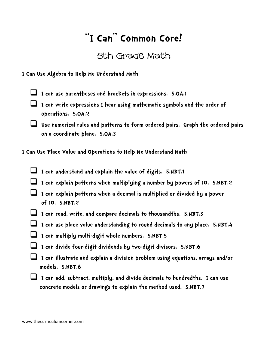## **"I Can" Common Core!**

## 5th Grade Math

**I Can Use Algebra to Help Me Understand Math**

- **I can use parentheses and brackets in expressions. 5.OA.1**
- **I can write expressions I hear using mathematic symbols and the order of operations. 5.OA.2**
- **Use numerical rules and patterns to form ordered pairs. Graph the ordered pairs on a coordinate plane. 5.OA.3**

**I Can Use Place Value and Operations to Help Me Understand Math**

- **I can understand and explain the value of digits. 5.NBT.1**
- **I can explain patterns when multiplying a number by powers of 10. 5.NBT.2**
- **I can explain patterns when a decimal is multiplied or divided by a power of 10. 5.NBT.2**
- **I can read, write, and compare decimals to thousandths. 5.NBT.3**
- **I can use place value understanding to round decimals to any place. 5.NBT.4**
- **I can multiply multi-digit whole numbers. 5.NBT.5**
- **I can divide four-digit dividends by two-digit divisors. 5.NBT.6**
- **I can illustrate and explain a division problem using equations, arrays and/or models. 5.NBT.6**
- **I can add, subtract, multiply, and divide decimals to hundredths. I can use concrete models or drawings to explain the method used. 5.NBT.7**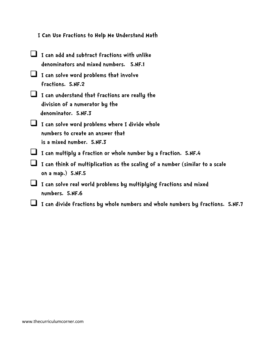| I Can Use Fractions to Help Me Understand Math |  |  |  |
|------------------------------------------------|--|--|--|
|------------------------------------------------|--|--|--|

| I can add and subtract fractions with unlike<br>denominators and mixed numbers. 5.NF.1                                 |
|------------------------------------------------------------------------------------------------------------------------|
| I can solve word problems that involve<br>fractions. 5.NF.2                                                            |
| I can understand that fractions are really the<br>division of a numerator by the<br>denominator. 5.NF.3                |
| $\Box$ I can solve word problems where I divide whole<br>numbers to create an answer that<br>is a mixed number. 5.NF.3 |
| I can multiply a fraction or whole number by a fraction. 5.NF.4                                                        |
| I can think of multiplication as the scaling of a number (similar to a scale<br>oh a map.) $5.NF.5$                    |
| I can solve real world problems by multiplying fractions and mixed<br>numbers. 5.NF.6                                  |
| I can divide fractions by whole numbers and whole numbers by fractions. 5.NF.7                                         |